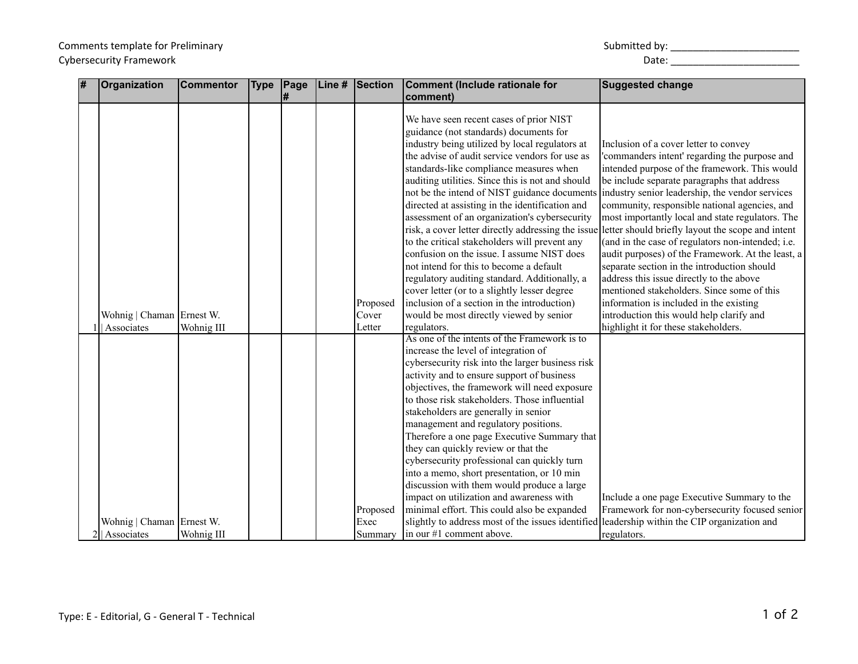## Comments template for Preliminary Submitted by: \_\_\_\_\_\_\_\_\_\_\_\_\_\_\_\_\_\_\_\_\_\_\_ Cybersecurity Framework and the control of the control of the control of the control of the control of the control of the control of the control of the control of the control of the control of the control of the control of

| # | Organization                | <b>Commentor</b> | <b>Type</b> | Page | Line # | Section  | Comment (Include rationale for                                                                                                                                                                                                                                                                                                                                                                                                                                                                                                                                                                                                                                                                                                     | <b>Suggested change</b>                                                                                                                                                                                                                                                                                                                                                                                                                                                                                                                                                                                                                                                                                                                              |
|---|-----------------------------|------------------|-------------|------|--------|----------|------------------------------------------------------------------------------------------------------------------------------------------------------------------------------------------------------------------------------------------------------------------------------------------------------------------------------------------------------------------------------------------------------------------------------------------------------------------------------------------------------------------------------------------------------------------------------------------------------------------------------------------------------------------------------------------------------------------------------------|------------------------------------------------------------------------------------------------------------------------------------------------------------------------------------------------------------------------------------------------------------------------------------------------------------------------------------------------------------------------------------------------------------------------------------------------------------------------------------------------------------------------------------------------------------------------------------------------------------------------------------------------------------------------------------------------------------------------------------------------------|
|   |                             |                  |             | #    |        |          | comment)                                                                                                                                                                                                                                                                                                                                                                                                                                                                                                                                                                                                                                                                                                                           |                                                                                                                                                                                                                                                                                                                                                                                                                                                                                                                                                                                                                                                                                                                                                      |
|   |                             |                  |             |      |        | Proposed | We have seen recent cases of prior NIST<br>guidance (not standards) documents for<br>industry being utilized by local regulators at<br>the advise of audit service vendors for use as<br>standards-like compliance measures when<br>auditing utilities. Since this is not and should<br>not be the intend of NIST guidance documents<br>directed at assisting in the identification and<br>assessment of an organization's cybersecurity<br>to the critical stakeholders will prevent any<br>confusion on the issue. I assume NIST does<br>not intend for this to become a default<br>regulatory auditing standard. Additionally, a<br>cover letter (or to a slightly lesser degree<br>inclusion of a section in the introduction) | Inclusion of a cover letter to convey<br>'commanders intent' regarding the purpose and<br>intended purpose of the framework. This would<br>be include separate paragraphs that address<br>industry senior leadership, the vendor services<br>community, responsible national agencies, and<br>most importantly local and state regulators. The<br>risk, a cover letter directly addressing the issue letter should briefly layout the scope and intent<br>(and in the case of regulators non-intended; i.e.<br>audit purposes) of the Framework. At the least, a<br>separate section in the introduction should<br>address this issue directly to the above<br>mentioned stakeholders. Since some of this<br>information is included in the existing |
|   | Wohnig   Chaman   Ernest W. |                  |             |      |        | Cover    | would be most directly viewed by senior                                                                                                                                                                                                                                                                                                                                                                                                                                                                                                                                                                                                                                                                                            | introduction this would help clarify and                                                                                                                                                                                                                                                                                                                                                                                                                                                                                                                                                                                                                                                                                                             |
|   | Associates                  | Wohnig III       |             |      |        | Letter   | regulators.                                                                                                                                                                                                                                                                                                                                                                                                                                                                                                                                                                                                                                                                                                                        | highlight it for these stakeholders.                                                                                                                                                                                                                                                                                                                                                                                                                                                                                                                                                                                                                                                                                                                 |
|   |                             |                  |             |      |        | Proposed | As one of the intents of the Framework is to<br>increase the level of integration of<br>cybersecurity risk into the larger business risk<br>activity and to ensure support of business<br>objectives, the framework will need exposure<br>to those risk stakeholders. Those influential<br>stakeholders are generally in senior<br>management and regulatory positions.<br>Therefore a one page Executive Summary that<br>they can quickly review or that the<br>cybersecurity professional can quickly turn<br>into a memo, short presentation, or 10 min<br>discussion with them would produce a large<br>impact on utilization and awareness with<br>minimal effort. This could also be expanded                                | Include a one page Executive Summary to the<br>Framework for non-cybersecurity focused senior                                                                                                                                                                                                                                                                                                                                                                                                                                                                                                                                                                                                                                                        |
|   | Wohnig   Chaman   Ernest W. |                  |             |      |        | Exec     | slightly to address most of the issues identified leadership within the CIP organization and                                                                                                                                                                                                                                                                                                                                                                                                                                                                                                                                                                                                                                       |                                                                                                                                                                                                                                                                                                                                                                                                                                                                                                                                                                                                                                                                                                                                                      |
|   | 2 <sup> </sup>   Associates | Wohnig III       |             |      |        | Summary  | $\ln$ our #1 comment above.                                                                                                                                                                                                                                                                                                                                                                                                                                                                                                                                                                                                                                                                                                        | regulators.                                                                                                                                                                                                                                                                                                                                                                                                                                                                                                                                                                                                                                                                                                                                          |